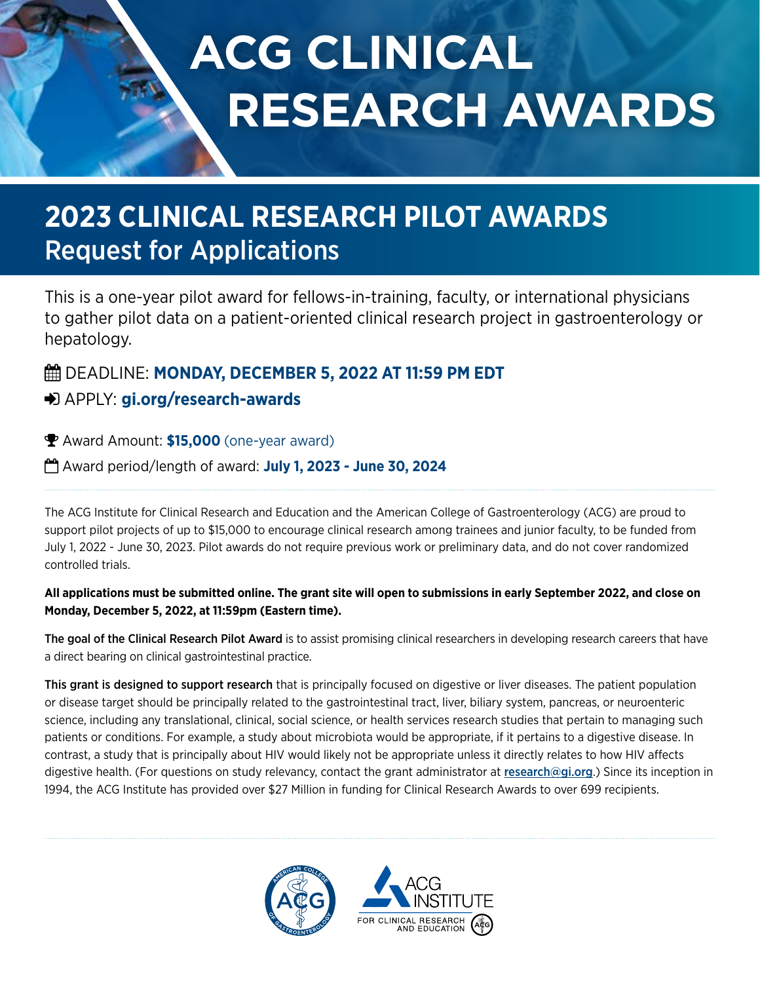# **ACG CLINICAL RESEARCH AWARDS**

# **2023 CLINICAL RESEARCH PILOT AWARDS** Request for Applications

This is a one-year pilot award for fellows-in-training, faculty, or international physicians to gather pilot data on a patient-oriented clinical research project in gastroenterology or hepatology.

## **EE DEADLINE: MONDAY, DECEMBER 5, 2022 AT 11:59 PM EDT**

### APPLY: **[gi.org/research-awards](https://gi.org/acg-institute/research-awards/)**

Award Amount: **\$15,000** (one-year award)

Award period/length of award: **July 1, 2023 - June 30, 2024**

The ACG Institute for Clinical Research and Education and the American College of Gastroenterology (ACG) are proud to support pilot projects of up to \$15,000 to encourage clinical research among trainees and junior faculty, to be funded from July 1, 2022 - June 30, 2023. Pilot awards do not require previous work or preliminary data, and do not cover randomized controlled trials.

#### **All applications must be submitted online. The grant site will open to submissions in early September 2022, and close on Monday, December 5, 2022, at 11:59pm (Eastern time).**

The goal of the Clinical Research Pilot Award is to assist promising clinical researchers in developing research careers that have a direct bearing on clinical gastrointestinal practice.

This grant is designed to support research that is principally focused on digestive or liver diseases. The patient population or disease target should be principally related to the gastrointestinal tract, liver, biliary system, pancreas, or neuroenteric science, including any translational, clinical, social science, or health services research studies that pertain to managing such patients or conditions. For example, a study about microbiota would be appropriate, if it pertains to a digestive disease. In contrast, a study that is principally about HIV would likely not be appropriate unless it directly relates to how HIV affects digestive health. (For questions on study relevancy, contact the grant administrator at [research@gi.org](mailto:research%40gi.org?subject=ACG%20Clinical%20Research%20Pilot%20Award).) Since its inception in 1994, the ACG Institute has provided over \$27 Million in funding for Clinical Research Awards to over 699 recipients.

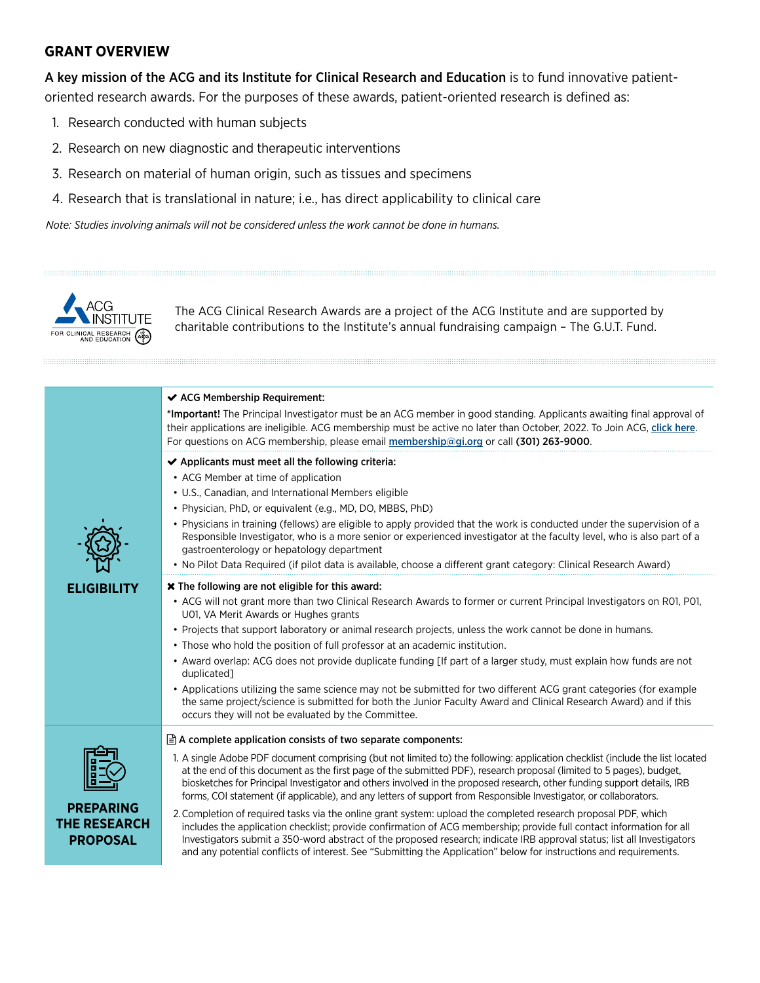#### **GRANT OVERVIEW**

A key mission of the ACG and its Institute for Clinical Research and Education is to fund innovative patientoriented research awards. For the purposes of these awards, patient-oriented research is defined as:

- 1. Research conducted with human subjects
- 2. Research on new diagnostic and therapeutic interventions
- 3. Research on material of human origin, such as tissues and specimens
- 4. Research that is translational in nature; i.e., has direct applicability to clinical care

*Note: Studies involving animals will not be considered unless the work cannot be done in humans.* 



The ACG Clinical Research Awards are a project of the ACG Institute and are supported by charitable contributions to the Institute's annual fundraising campaign – The G.U.T. Fund.

|                                                            | ← ACG Membership Requirement:<br>*Important! The Principal Investigator must be an ACG member in good standing. Applicants awaiting final approval of<br>their applications are ineligible. ACG membership must be active no later than October, 2022. To Join ACG, click here.<br>For questions on ACG membership, please email membership@gi.org or call (301) 263-9000.                                                                                                                                                                                                                                                                                                                                                                                                                                                                                                                                                                                                                                                                                                |
|------------------------------------------------------------|---------------------------------------------------------------------------------------------------------------------------------------------------------------------------------------------------------------------------------------------------------------------------------------------------------------------------------------------------------------------------------------------------------------------------------------------------------------------------------------------------------------------------------------------------------------------------------------------------------------------------------------------------------------------------------------------------------------------------------------------------------------------------------------------------------------------------------------------------------------------------------------------------------------------------------------------------------------------------------------------------------------------------------------------------------------------------|
|                                                            | ◆ Applicants must meet all the following criteria:<br>• ACG Member at time of application<br>• U.S., Canadian, and International Members eligible<br>• Physician, PhD, or equivalent (e.g., MD, DO, MBBS, PhD)<br>• Physicians in training (fellows) are eligible to apply provided that the work is conducted under the supervision of a<br>Responsible Investigator, who is a more senior or experienced investigator at the faculty level, who is also part of a<br>gastroenterology or hepatology department<br>. No Pilot Data Required (if pilot data is available, choose a different grant category: Clinical Research Award)                                                                                                                                                                                                                                                                                                                                                                                                                                     |
| <b>ELIGIBILITY</b>                                         | <b>*</b> The following are not eligible for this award:<br>• ACG will not grant more than two Clinical Research Awards to former or current Principal Investigators on R01, P01,<br>U01, VA Merit Awards or Hughes grants<br>• Projects that support laboratory or animal research projects, unless the work cannot be done in humans.<br>• Those who hold the position of full professor at an academic institution.<br>• Award overlap: ACG does not provide duplicate funding [If part of a larger study, must explain how funds are not<br>duplicated]<br>• Applications utilizing the same science may not be submitted for two different ACG grant categories (for example<br>the same project/science is submitted for both the Junior Faculty Award and Clinical Research Award) and if this<br>occurs they will not be evaluated by the Committee.                                                                                                                                                                                                               |
| <b>PREPARING</b><br><b>THE RESEARCH</b><br><b>PROPOSAL</b> | $\exists$ A complete application consists of two separate components:<br>1. A single Adobe PDF document comprising (but not limited to) the following: application checklist (include the list located<br>at the end of this document as the first page of the submitted PDF), research proposal (limited to 5 pages), budget,<br>biosketches for Principal Investigator and others involved in the proposed research, other funding support details, IRB<br>forms, COI statement (if applicable), and any letters of support from Responsible Investigator, or collaborators.<br>2. Completion of required tasks via the online grant system: upload the completed research proposal PDF, which<br>includes the application checklist; provide confirmation of ACG membership; provide full contact information for all<br>Investigators submit a 350-word abstract of the proposed research; indicate IRB approval status; list all Investigators<br>and any potential conflicts of interest. See "Submitting the Application" below for instructions and requirements. |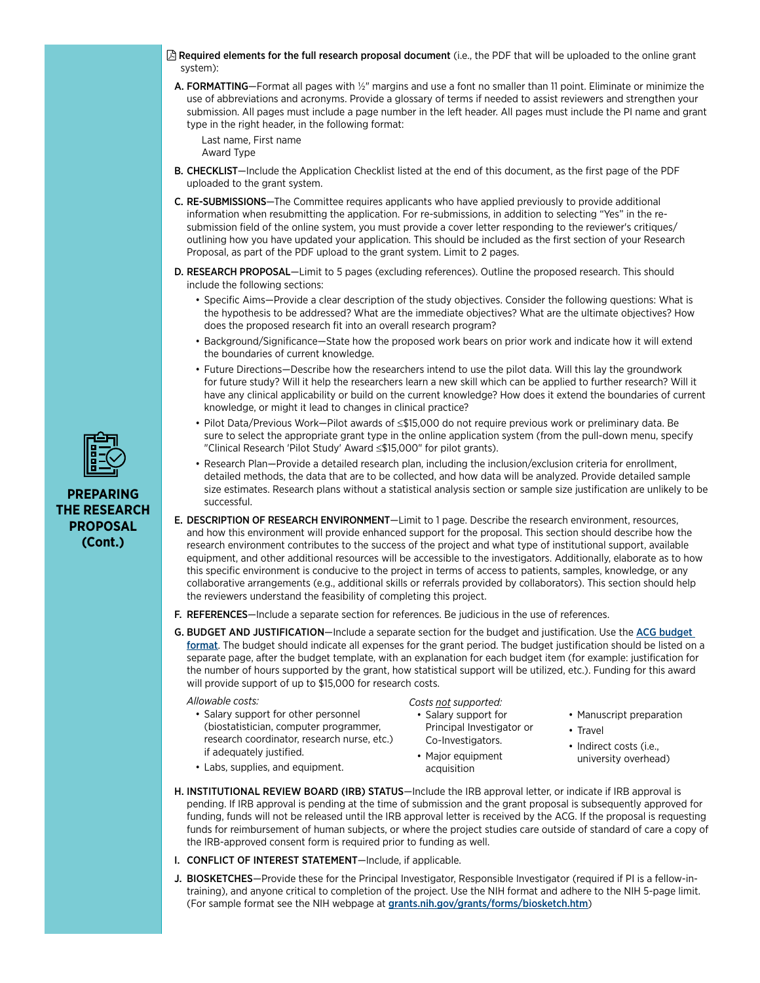- $\boxtimes$  Required elements for the full research proposal document (i.e., the PDF that will be uploaded to the online grant system):
- A. FORMATTING—Format all pages with 1/2" margins and use a font no smaller than 11 point. Eliminate or minimize the use of abbreviations and acronyms. Provide a glossary of terms if needed to assist reviewers and strengthen your submission. All pages must include a page number in the left header. All pages must include the PI name and grant type in the right header, in the following format:

Last name, First name

Award Type

- B. CHECKLIST—Include the Application Checklist listed at the end of this document, as the first page of the PDF uploaded to the grant system.
- C. RE-SUBMISSIONS—The Committee requires applicants who have applied previously to provide additional information when resubmitting the application. For re-submissions, in addition to selecting "Yes" in the resubmission field of the online system, you must provide a cover letter responding to the reviewer's critiques/ outlining how you have updated your application. This should be included as the first section of your Research Proposal, as part of the PDF upload to the grant system. Limit to 2 pages.
- D. RESEARCH PROPOSAL—Limit to 5 pages (excluding references). Outline the proposed research. This should include the following sections:
	- Specific Aims—Provide a clear description of the study objectives. Consider the following questions: What is the hypothesis to be addressed? What are the immediate objectives? What are the ultimate objectives? How does the proposed research fit into an overall research program?
	- Background/Significance—State how the proposed work bears on prior work and indicate how it will extend the boundaries of current knowledge.
	- Future Directions—Describe how the researchers intend to use the pilot data. Will this lay the groundwork for future study? Will it help the researchers learn a new skill which can be applied to further research? Will it have any clinical applicability or build on the current knowledge? How does it extend the boundaries of current knowledge, or might it lead to changes in clinical practice?
	- Pilot Data/Previous Work—Pilot awards of ≤\$15,000 do not require previous work or preliminary data. Be sure to select the appropriate grant type in the online application system (from the pull-down menu, specify "Clinical Research 'Pilot Study' Award ≤\$15,000" for pilot grants).
	- Research Plan—Provide a detailed research plan, including the inclusion/exclusion criteria for enrollment, detailed methods, the data that are to be collected, and how data will be analyzed. Provide detailed sample size estimates. Research plans without a statistical analysis section or sample size justification are unlikely to be successful.
- E. DESCRIPTION OF RESEARCH ENVIRONMENT—Limit to 1 page. Describe the research environment, resources, and how this environment will provide enhanced support for the proposal. This section should describe how the research environment contributes to the success of the project and what type of institutional support, available equipment, and other additional resources will be accessible to the investigators. Additionally, elaborate as to how this specific environment is conducive to the project in terms of access to patients, samples, knowledge, or any collaborative arrangements (e.g., additional skills or referrals provided by collaborators). This section should help the reviewers understand the feasibility of completing this project.
- F. REFERENCES-Include a separate section for references. Be judicious in the use of references.
- G. BUDGET AND JUSTIFICATION—Include a separate section for the budget and justification. Use the [ACG budget](https://webfiles.gi.org/docs/institute/ACG-Research-Awards-budget-template.xlsx)  [format](https://webfiles.gi.org/docs/institute/ACG-Research-Awards-budget-template.xlsx). The budget should indicate all expenses for the grant period. The budget justification should be listed on a separate page, after the budget template, with an explanation for each budget item (for example: justification for the number of hours supported by the grant, how statistical support will be utilized, etc.). Funding for this award will provide support of up to \$15,000 for research costs.

*Allowable costs:* 

• Salary support for other personnel (biostatistician, computer programmer, research coordinator, research nurse, etc.) if adequately justified.

*Costs not supported:* 

- Salary support for Principal Investigator or Co-Investigators.
- Major equipment acquisition
- Manuscript preparation
- Travel
- Indirect costs (i.e., university overhead)
- Labs, supplies, and equipment.
- H. INSTITUTIONAL REVIEW BOARD (IRB) STATUS-Include the IRB approval letter, or indicate if IRB approval is pending. If IRB approval is pending at the time of submission and the grant proposal is subsequently approved for funding, funds will not be released until the IRB approval letter is received by the ACG. If the proposal is requesting funds for reimbursement of human subjects, or where the project studies care outside of standard of care a copy of the IRB-approved consent form is required prior to funding as well.
- I. CONFLICT OF INTEREST STATEMENT—Include, if applicable.
- J. BIOSKETCHES-Provide these for the Principal Investigator, Responsible Investigator (required if PI is a fellow-intraining), and anyone critical to completion of the project. Use the NIH format and adhere to the NIH 5-page limit. (For sample format see the NIH webpage at [grants.nih.gov/grants/forms/biosketch.htm](http://grants.nih.gov/grants/forms/biosketch.htm))



**PREPARING THE RESEARCH PROPOSAL (Cont.)**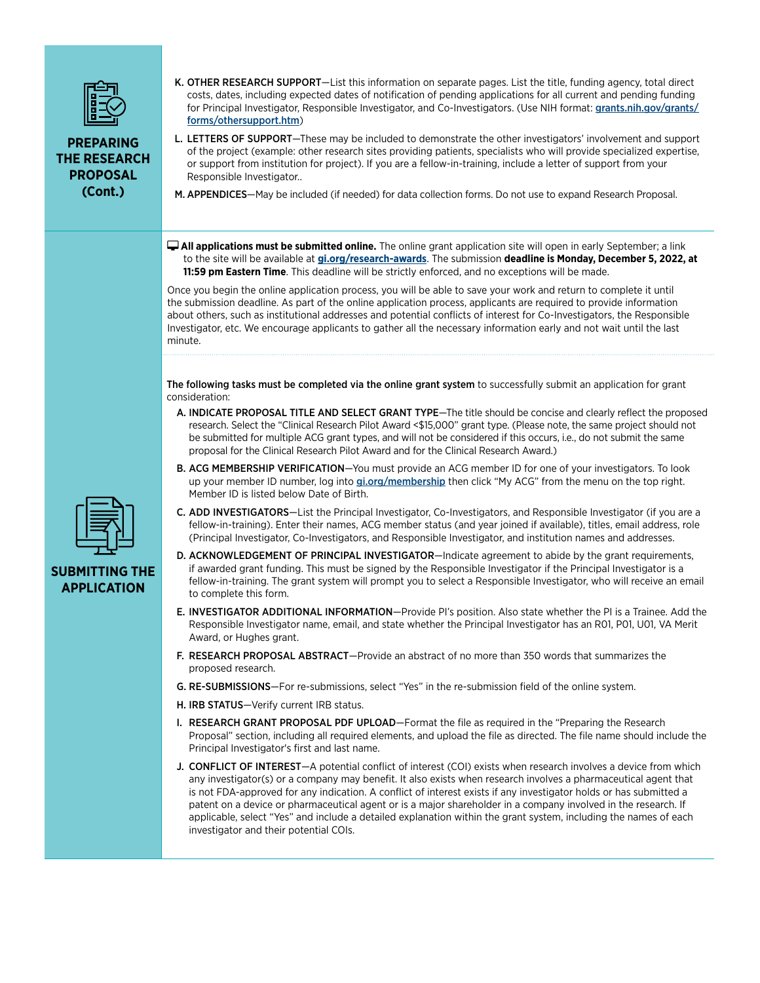

**PREPARING THE RESEARCH PROPOSAL (Cont.)**

K. OTHER RESEARCH SUPPORT-List this information on separate pages. List the title, funding agency, total direct costs, dates, including expected dates of notification of pending applications for all current and pending funding for Principal Investigator, Responsible Investigator, and Co-Investigators. (Use NIH format: [grants.nih.gov/grants/](http://grants.nih.gov/grants/forms/othersupport.htm) [forms/othersupport.htm](http://grants.nih.gov/grants/forms/othersupport.htm))

L. LETTERS OF SUPPORT-These may be included to demonstrate the other investigators' involvement and support of the project (example: other research sites providing patients, specialists who will provide specialized expertise, or support from institution for project). If you are a fellow-in-training, include a letter of support from your Responsible Investigator..

M. APPENDICES—May be included (if needed) for data collection forms. Do not use to expand Research Proposal.

 **All applications must be submitted online.** The online grant application site will open in early September; a link to the site will be available at **[gi.org/research-awards](https://gi.org/acg-institute/research-awards/)**. The submission **deadline is Monday, December 5, 2022, at 11:59 pm Eastern Time**. This deadline will be strictly enforced, and no exceptions will be made.

Once you begin the online application process, you will be able to save your work and return to complete it until the submission deadline. As part of the online application process, applicants are required to provide information about others, such as institutional addresses and potential conflicts of interest for Co-Investigators, the Responsible Investigator, etc. We encourage applicants to gather all the necessary information early and not wait until the last minute.

The following tasks must be completed via the online grant system to successfully submit an application for grant consideration:

- A. INDICATE PROPOSAL TITLE AND SELECT GRANT TYPE—The title should be concise and clearly reflect the proposed research. Select the "Clinical Research Pilot Award <\$15,000" grant type. (Please note, the same project should not be submitted for multiple ACG grant types, and will not be considered if this occurs, i.e., do not submit the same proposal for the Clinical Research Pilot Award and for the Clinical Research Award.)
- B. ACG MEMBERSHIP VERIFICATION—You must provide an ACG member ID for one of your investigators. To look up your member ID number, log into [gi.org/membership](https://gi.org/membership/) then click "My ACG" from the menu on the top right. Member ID is listed below Date of Birth.
- C. ADD INVESTIGATORS—List the Principal Investigator, Co-Investigators, and Responsible Investigator (if you are a fellow-in-training). Enter their names, ACG member status (and year joined if available), titles, email address, role (Principal Investigator, Co-Investigators, and Responsible Investigator, and institution names and addresses.
- D. ACKNOWLEDGEMENT OF PRINCIPAL INVESTIGATOR-Indicate agreement to abide by the grant requirements, if awarded grant funding. This must be signed by the Responsible Investigator if the Principal Investigator is a fellow-in-training. The grant system will prompt you to select a Responsible Investigator, who will receive an email to complete this form.
- E. INVESTIGATOR ADDITIONAL INFORMATION—Provide PI's position. Also state whether the PI is a Trainee. Add the Responsible Investigator name, email, and state whether the Principal Investigator has an R01, P01, U01, VA Merit Award, or Hughes grant.
- F. RESEARCH PROPOSAL ABSTRACT—Provide an abstract of no more than 350 words that summarizes the proposed research.
- G. RE-SUBMISSIONS—For re-submissions, select "Yes" in the re-submission field of the online system.
- H. IRB STATUS—Verify current IRB status.
- I. RESEARCH GRANT PROPOSAL PDF UPLOAD—Format the file as required in the "Preparing the Research Proposal" section, including all required elements, and upload the file as directed. The file name should include the Principal Investigator's first and last name.
- J. CONFLICT OF INTEREST-A potential conflict of interest (COI) exists when research involves a device from which any investigator(s) or a company may benefit. It also exists when research involves a pharmaceutical agent that is not FDA-approved for any indication. A conflict of interest exists if any investigator holds or has submitted a patent on a device or pharmaceutical agent or is a major shareholder in a company involved in the research. If applicable, select "Yes" and include a detailed explanation within the grant system, including the names of each investigator and their potential COIs.



#### **SUBMITTING THE APPLICATION**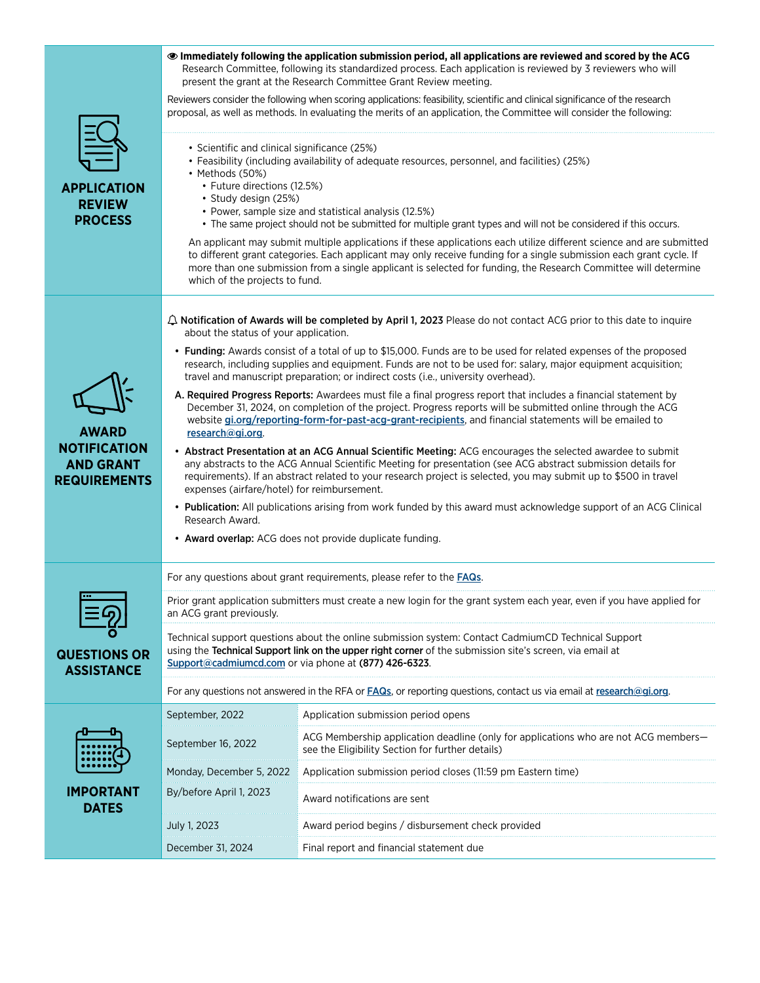|                                                                                | <b> • Immediately following the application submission period, all applications are reviewed and scored by the ACG</b><br>Research Committee, following its standardized process. Each application is reviewed by 3 reviewers who will<br>present the grant at the Research Committee Grant Review meeting.                                                                                   |                                                                                                                                                                                                                                                                                                                                                                |  |
|--------------------------------------------------------------------------------|-----------------------------------------------------------------------------------------------------------------------------------------------------------------------------------------------------------------------------------------------------------------------------------------------------------------------------------------------------------------------------------------------|----------------------------------------------------------------------------------------------------------------------------------------------------------------------------------------------------------------------------------------------------------------------------------------------------------------------------------------------------------------|--|
| <b>APPLICATION</b><br><b>REVIEW</b><br><b>PROCESS</b>                          |                                                                                                                                                                                                                                                                                                                                                                                               | Reviewers consider the following when scoring applications: feasibility, scientific and clinical significance of the research<br>proposal, as well as methods. In evaluating the merits of an application, the Committee will consider the following:                                                                                                          |  |
|                                                                                | • Scientific and clinical significance (25%)<br>• Methods (50%)<br>• Future directions (12.5%)<br>· Study design (25%)                                                                                                                                                                                                                                                                        | • Feasibility (including availability of adequate resources, personnel, and facilities) (25%)<br>• Power, sample size and statistical analysis (12.5%)<br>• The same project should not be submitted for multiple grant types and will not be considered if this occurs.                                                                                       |  |
|                                                                                | which of the projects to fund.                                                                                                                                                                                                                                                                                                                                                                | An applicant may submit multiple applications if these applications each utilize different science and are submitted<br>to different grant categories. Each applicant may only receive funding for a single submission each grant cycle. If<br>more than one submission from a single applicant is selected for funding, the Research Committee will determine |  |
|                                                                                | $\triangle$ Notification of Awards will be completed by April 1, 2023 Please do not contact ACG prior to this date to inquire<br>about the status of your application.                                                                                                                                                                                                                        |                                                                                                                                                                                                                                                                                                                                                                |  |
| <b>AWARD</b><br><b>NOTIFICATION</b><br><b>AND GRANT</b><br><b>REQUIREMENTS</b> | • Funding: Awards consist of a total of up to \$15,000. Funds are to be used for related expenses of the proposed<br>research, including supplies and equipment. Funds are not to be used for: salary, major equipment acquisition;<br>travel and manuscript preparation; or indirect costs (i.e., university overhead).                                                                      |                                                                                                                                                                                                                                                                                                                                                                |  |
|                                                                                | A. Required Progress Reports: Awardees must file a final progress report that includes a financial statement by<br>December 31, 2024, on completion of the project. Progress reports will be submitted online through the ACG<br>website gi.org/reporting-form-for-past-acg-grant-recipients, and financial statements will be emailed to<br>research@gi.org.                                 |                                                                                                                                                                                                                                                                                                                                                                |  |
|                                                                                | • Abstract Presentation at an ACG Annual Scientific Meeting: ACG encourages the selected awardee to submit<br>any abstracts to the ACG Annual Scientific Meeting for presentation (see ACG abstract submission details for<br>requirements). If an abstract related to your research project is selected, you may submit up to \$500 in travel<br>expenses (airfare/hotel) for reimbursement. |                                                                                                                                                                                                                                                                                                                                                                |  |
|                                                                                | • Publication: All publications arising from work funded by this award must acknowledge support of an ACG Clinical<br>Research Award.                                                                                                                                                                                                                                                         |                                                                                                                                                                                                                                                                                                                                                                |  |
|                                                                                | • Award overlap: ACG does not provide duplicate funding.                                                                                                                                                                                                                                                                                                                                      |                                                                                                                                                                                                                                                                                                                                                                |  |
| <b>QUESTIONS OR</b><br><b>ASSISTANCE</b>                                       | For any questions about grant requirements, please refer to the <b>FAQs</b> .                                                                                                                                                                                                                                                                                                                 |                                                                                                                                                                                                                                                                                                                                                                |  |
|                                                                                | Prior grant application submitters must create a new login for the grant system each year, even if you have applied for<br>an ACG grant previously.                                                                                                                                                                                                                                           |                                                                                                                                                                                                                                                                                                                                                                |  |
|                                                                                | Technical support questions about the online submission system: Contact CadmiumCD Technical Support<br>using the Technical Support link on the upper right corner of the submission site's screen, via email at<br>Support@cadmiumcd.com or via phone at (877) 426-6323.                                                                                                                      |                                                                                                                                                                                                                                                                                                                                                                |  |
|                                                                                | For any questions not answered in the RFA or FAQs, or reporting questions, contact us via email at research@gi.org.                                                                                                                                                                                                                                                                           |                                                                                                                                                                                                                                                                                                                                                                |  |
|                                                                                | September, 2022                                                                                                                                                                                                                                                                                                                                                                               | Application submission period opens                                                                                                                                                                                                                                                                                                                            |  |
|                                                                                | September 16, 2022                                                                                                                                                                                                                                                                                                                                                                            | ACG Membership application deadline (only for applications who are not ACG members-<br>see the Eligibility Section for further details)                                                                                                                                                                                                                        |  |
|                                                                                | Monday, December 5, 2022                                                                                                                                                                                                                                                                                                                                                                      | Application submission period closes (11:59 pm Eastern time)                                                                                                                                                                                                                                                                                                   |  |
| <b>IMPORTANT</b><br><b>DATES</b>                                               | By/before April 1, 2023                                                                                                                                                                                                                                                                                                                                                                       | Award notifications are sent                                                                                                                                                                                                                                                                                                                                   |  |
|                                                                                | July 1, 2023                                                                                                                                                                                                                                                                                                                                                                                  | Award period begins / disbursement check provided                                                                                                                                                                                                                                                                                                              |  |
|                                                                                | December 31, 2024                                                                                                                                                                                                                                                                                                                                                                             | Final report and financial statement due                                                                                                                                                                                                                                                                                                                       |  |